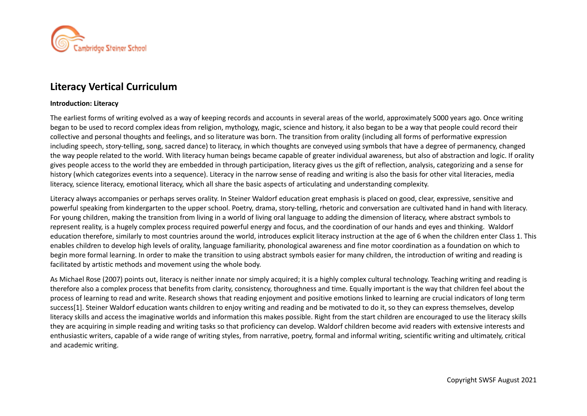

# **Literacy Vertical Curriculum**

#### **Introduction: Literacy**

The earliest forms of writing evolved as a way of keeping records and accounts in several areas of the world, approximately 5000 years ago. Once writing began to be used to record complex ideas from religion, mythology, magic, science and history, it also began to be a way that people could record their collective and personal thoughts and feelings, and so literature was born. The transition from orality (including all forms of performative expression including speech, story-telling, song, sacred dance) to literacy, in which thoughts are conveyed using symbols that have a degree of permanency, changed the way people related to the world. With literacy human beings became capable of greater individual awareness, but also of abstraction and logic. If orality gives people access to the world they are embedded in through participation, literacy gives us the gift of reflection, analysis, categorizing and a sense for history (which categorizes events into a sequence). Literacy in the narrow sense of reading and writing is also the basis for other vital literacies, media literacy, science literacy, emotional literacy, which all share the basic aspects of articulating and understanding complexity.

Literacy always accompanies or perhaps serves orality. In Steiner Waldorf education great emphasis is placed on good, clear, expressive, sensitive and powerful speaking from kindergarten to the upper school. Poetry, drama, story-telling, rhetoric and conversation are cultivated hand in hand with literacy. For young children, making the transition from living in a world of living oral language to adding the dimension of literacy, where abstract symbols to represent reality, is a hugely complex process required powerful energy and focus, and the coordination of our hands and eyes and thinking. Waldorf education therefore, similarly to most countries around the world, introduces explicit literacy instruction at the age of 6 when the children enter Class 1. This enables children to develop high levels of orality, language familiarity, phonological awareness and fine motor coordination as a foundation on which to begin more formal learning. In order to make the transition to using abstract symbols easier for many children, the introduction of writing and reading is facilitated by artistic methods and movement using the whole body.

As Michael Rose (2007) points out, literacy is neither innate nor simply acquired; it is a highly complex cultural technology. Teaching writing and reading is therefore also a complex process that benefits from clarity, consistency, thoroughness and time. Equally important is the way that children feel about the process of learning to read and write. Research shows that reading enjoyment and positive emotions linked to learning are crucial indicators of long term success[1]. Steiner Waldorf education wants children to enjoy writing and reading and be motivated to do it, so they can express themselves, develop literacy skills and access the imaginative worlds and information this makes possible. Right from the start children are encouraged to use the literacy skills they are acquiring in simple reading and writing tasks so that proficiency can develop. Waldorf children become avid readers with extensive interests and enthusiastic writers, capable of a wide range of writing styles, from narrative, poetry, formal and informal writing, scientific writing and ultimately, critical and academic writing.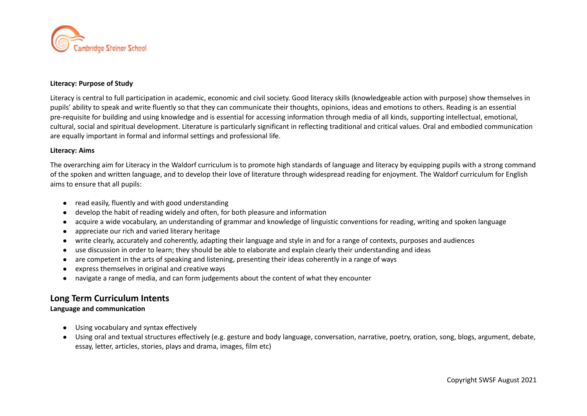

#### **Literacy: Purpose of Study**

Literacy is central to full participation in academic, economic and civil society. Good literacy skills (knowledgeable action with purpose) show themselves in pupils' ability to speak and write fluently so that they can communicate their thoughts, opinions, ideas and emotions to others. Reading is an essential pre-requisite for building and using knowledge and is essential for accessing information through media of all kinds, supporting intellectual, emotional, cultural, social and spiritual development. Literature is particularly significant in reflecting traditional and critical values. Oral and embodied communication are equally important in formal and informal settings and professional life.

#### **Literacy: Aims**

The overarching aim for Literacy in the Waldorf curriculum is to promote high standards of language and literacy by equipping pupils with a strong command of the spoken and written language, and to develop their love of literature through widespread reading for enjoyment. The Waldorf curriculum for English aims to ensure that all pupils:

- read easily, fluently and with good understanding
- develop the habit of reading widely and often, for both pleasure and information
- acquire a wide vocabulary, an understanding of grammar and knowledge of linguistic conventions for reading, writing and spoken language
- appreciate our rich and varied literary heritage
- write clearly, accurately and coherently, adapting their language and style in and for a range of contexts, purposes and audiences
- use discussion in order to learn; they should be able to elaborate and explain clearly their understanding and ideas
- are competent in the arts of speaking and listening, presenting their ideas coherently in a range of ways
- express themselves in original and creative ways
- navigate a range of media, and can form judgements about the content of what they encounter

# **Long Term Curriculum Intents**

#### **Language and communication**

- Using vocabulary and syntax effectively
- Using oral and textual structures effectively (e.g. gesture and body language, conversation, narrative, poetry, oration, song, blogs, argument, debate, essay, letter, articles, stories, plays and drama, images, film etc)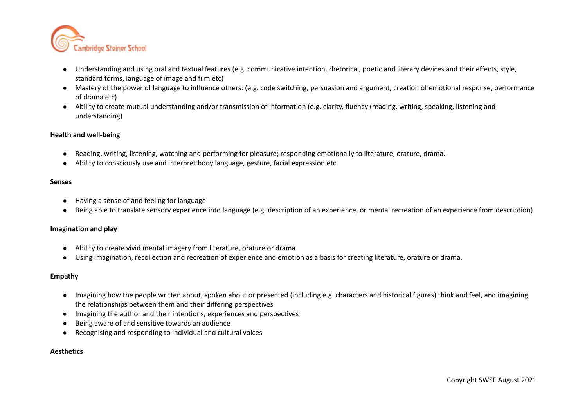

- Understanding and using oral and textual features (e.g. communicative intention, rhetorical, poetic and literary devices and their effects, style, standard forms, language of image and film etc)
- Mastery of the power of language to influence others: (e.g. code switching, persuasion and argument, creation of emotional response, performance of drama etc)
- Ability to create mutual understanding and/or transmission of information (e.g. clarity, fluency (reading, writing, speaking, listening and understanding)

#### **Health and well-being**

- Reading, writing, listening, watching and performing for pleasure; responding emotionally to literature, orature, drama.
- Ability to consciously use and interpret body language, gesture, facial expression etc

#### **Senses**

- Having a sense of and feeling for language
- Being able to translate sensory experience into language (e.g. description of an experience, or mental recreation of an experience from description)

#### **Imagination and play**

- Ability to create vivid mental imagery from literature, orature or drama
- Using imagination, recollection and recreation of experience and emotion as a basis for creating literature, orature or drama.

#### **Empathy**

- Imagining how the people written about, spoken about or presented (including e.g. characters and historical figures) think and feel, and imagining the relationships between them and their differing perspectives
- Imagining the author and their intentions, experiences and perspectives
- Being aware of and sensitive towards an audience
- Recognising and responding to individual and cultural voices

#### **Aesthetics**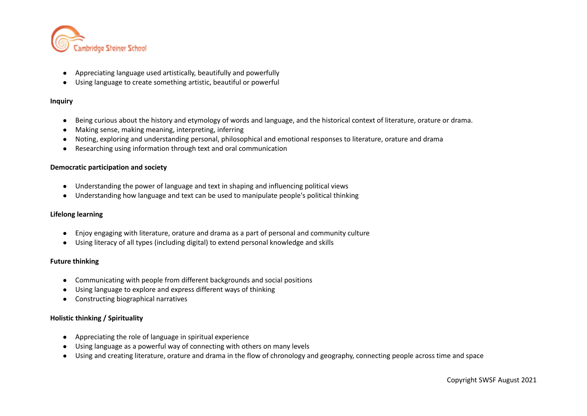

- Appreciating language used artistically, beautifully and powerfully
- Using language to create something artistic, beautiful or powerful

#### **Inquiry**

- Being curious about the history and etymology of words and language, and the historical context of literature, orature or drama.
- Making sense, making meaning, interpreting, inferring
- Noting, exploring and understanding personal, philosophical and emotional responses to literature, orature and drama
- Researching using information through text and oral communication

#### **Democratic participation and society**

- Understanding the power of language and text in shaping and influencing political views
- Understanding how language and text can be used to manipulate people's political thinking

#### **Lifelong learning**

- Enjoy engaging with literature, orature and drama as a part of personal and community culture
- Using literacy of all types (including digital) to extend personal knowledge and skills

#### **Future thinking**

- Communicating with people from different backgrounds and social positions
- Using language to explore and express different ways of thinking
- Constructing biographical narratives

#### **Holistic thinking / Spirituality**

- Appreciating the role of language in spiritual experience
- Using language as a powerful way of connecting with others on many levels
- Using and creating literature, orature and drama in the flow of chronology and geography, connecting people across time and space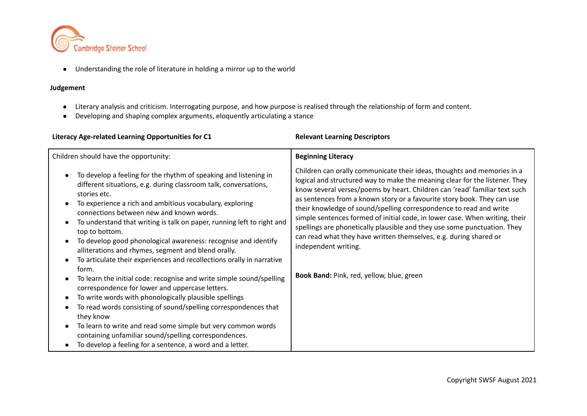

● Understanding the role of literature in holding a mirror up to the world

### **Judgement**

- Literary analysis and criticism. Interrogating purpose, and how purpose is realised through the relationship of form and content.
- Developing and shaping complex arguments, eloquently articulating a stance

| Literacy Age-related Learning Opportunities for C1                                                                                                                                                                                                                                                                                                                                                                                                                                                                                                                                                                                                                                                                                                                                                                                                                                                                                                                                                                                                                                                                                                  | <b>Relevant Learning Descriptors</b>                                                                                                                                                                                                                                                                                                                                                                                                                                                                                                                                                                                                                                                       |  |
|-----------------------------------------------------------------------------------------------------------------------------------------------------------------------------------------------------------------------------------------------------------------------------------------------------------------------------------------------------------------------------------------------------------------------------------------------------------------------------------------------------------------------------------------------------------------------------------------------------------------------------------------------------------------------------------------------------------------------------------------------------------------------------------------------------------------------------------------------------------------------------------------------------------------------------------------------------------------------------------------------------------------------------------------------------------------------------------------------------------------------------------------------------|--------------------------------------------------------------------------------------------------------------------------------------------------------------------------------------------------------------------------------------------------------------------------------------------------------------------------------------------------------------------------------------------------------------------------------------------------------------------------------------------------------------------------------------------------------------------------------------------------------------------------------------------------------------------------------------------|--|
| Children should have the opportunity:                                                                                                                                                                                                                                                                                                                                                                                                                                                                                                                                                                                                                                                                                                                                                                                                                                                                                                                                                                                                                                                                                                               | <b>Beginning Literacy</b>                                                                                                                                                                                                                                                                                                                                                                                                                                                                                                                                                                                                                                                                  |  |
| To develop a feeling for the rhythm of speaking and listening in<br>$\bullet$<br>different situations, e.g. during classroom talk, conversations,<br>stories etc.<br>To experience a rich and ambitious vocabulary, exploring<br>$\bullet$<br>connections between new and known words.<br>To understand that writing is talk on paper, running left to right and<br>$\bullet$<br>top to bottom.<br>To develop good phonological awareness: recognise and identify<br>$\bullet$<br>alliterations and rhymes, segment and blend orally.<br>To articulate their experiences and recollections orally in narrative<br>$\bullet$<br>form.<br>To learn the initial code: recognise and write simple sound/spelling<br>$\bullet$<br>correspondence for lower and uppercase letters.<br>To write words with phonologically plausible spellings<br>To read words consisting of sound/spelling correspondences that<br>$\bullet$<br>they know<br>To learn to write and read some simple but very common words<br>$\bullet$<br>containing unfamiliar sound/spelling correspondences.<br>To develop a feeling for a sentence, a word and a letter.<br>$\bullet$ | Children can orally communicate their ideas, thoughts and memories in a<br>logical and structured way to make the meaning clear for the listener. They<br>know several verses/poems by heart. Children can 'read' familiar text such<br>as sentences from a known story or a favourite story book. They can use<br>their knowledge of sound/spelling correspondence to read and write<br>simple sentences formed of initial code, in lower case. When writing, their<br>spellings are phonetically plausible and they use some punctuation. They<br>can read what they have written themselves, e.g. during shared or<br>independent writing.<br>Book Band: Pink, red, yellow, blue, green |  |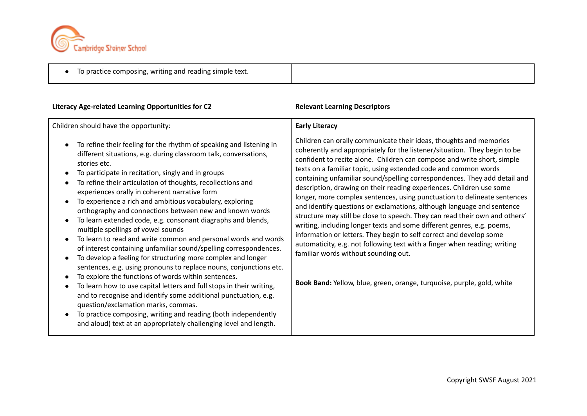

#### **Literacy Age-related Learning Opportunities for C2 Relevant Learning Descriptors** Children should have the opportunity: ● To refine their feeling for the rhythm of speaking and listening in different situations, e.g. during classroom talk, conversations, stories etc. ● To participate in recitation, singly and in groups ● To refine their articulation of thoughts, recollections and experiences orally in coherent narrative form ● To experience a rich and ambitious vocabulary, exploring orthography and connections between new and known words ● To learn extended code, e.g. consonant diagraphs and blends, multiple spellings of vowel sounds ● To learn to read and write common and personal words and words of interest containing unfamiliar sound/spelling correspondences. ● To develop a feeling for structuring more complex and longer sentences, e.g. using pronouns to replace nouns, conjunctions etc. ● To explore the functions of words within sentences. To learn how to use capital letters and full stops in their writing, and to recognise and identify some additional punctuation, e.g. question/exclamation marks, commas. ● To practice composing, writing and reading (both independently and aloud) text at an appropriately challenging level and length. **Early Literacy** Children can orally communicate their ideas, thoughts and memories coherently and appropriately for the listener/situation. They begin to be confident to recite alone. Children can compose and write short, simple texts on a familiar topic, using extended code and common words containing unfamiliar sound/spelling correspondences. They add detail and description, drawing on their reading experiences. Children use some longer, more complex sentences, using punctuation to delineate sentences and identify questions or exclamations, although language and sentence structure may still be close to speech. They can read their own and others' writing, including longer texts and some different genres, e.g. poems, information or letters. They begin to self correct and develop some automaticity, e.g. not following text with a finger when reading; writing familiar words without sounding out. **Book Band:** Yellow, blue, green, orange, turquoise, purple, gold, white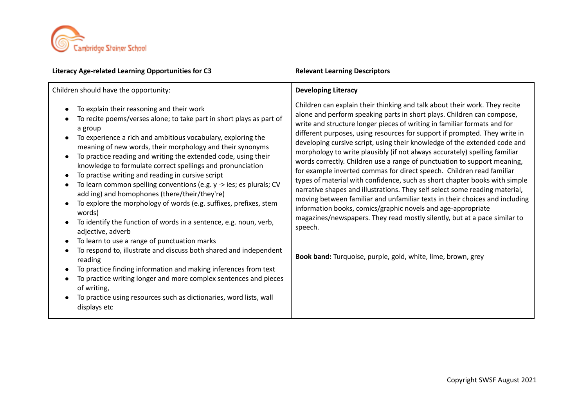

#### **Literacy Age-related Learning Opportunities for C3 Relevant Learning Descriptors** Children should have the opportunity: To explain their reasoning and their work To recite poems/verses alone; to take part in short plays as part of a group ● To experience a rich and ambitious vocabulary, exploring the meaning of new words, their morphology and their synonyms To practice reading and writing the extended code, using their knowledge to formulate correct spellings and pronunciation ● To practise writing and reading in cursive script To learn common spelling conventions (e.g. y -> ies; es plurals; CV add ing) and homophones (there/their/they're) ● To explore the morphology of words (e.g. suffixes, prefixes, stem words) ● To identify the function of words in a sentence, e.g. noun, verb, adjective, adverb To learn to use a range of punctuation marks To respond to, illustrate and discuss both shared and independent reading ● To practice finding information and making inferences from text To practice writing longer and more complex sentences and pieces of writing, ● To practice using resources such as dictionaries, word lists, wall displays etc **Developing Literacy** Children can explain their thinking and talk about their work. They recite alone and perform speaking parts in short plays. Children can compose, write and structure longer pieces of writing in familiar formats and for different purposes, using resources for support if prompted. They write in developing cursive script, using their knowledge of the extended code and morphology to write plausibly (if not always accurately) spelling familiar words correctly. Children use a range of punctuation to support meaning, for example inverted commas for direct speech. Children read familiar types of material with confidence, such as short chapter books with simple narrative shapes and illustrations. They self select some reading material, moving between familiar and unfamiliar texts in their choices and including information books, comics/graphic novels and age-appropriate magazines/newspapers. They read mostly silently, but at a pace similar to speech. **Book band:** Turquoise, purple, gold, white, lime, brown, grey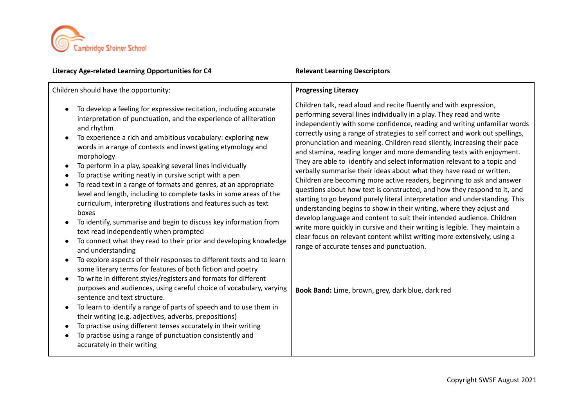

#### **Literacy Age-related Learning Opportunities for C4 Relevant Learning Descriptors**

Children should have the opportunity:

- To develop a feeling for expressive recitation, including accurate interpretation of punctuation, and the experience of alliteration and rhythm
- To experience a rich and ambitious vocabulary: exploring new words in a range of contexts and investigating etymology and morphology
- To perform in a play, speaking several lines individually
- To practise writing neatly in cursive script with a pen
- To read text in a range of formats and genres, at an appropriate level and length, including to complete tasks in some areas of the curriculum, interpreting illustrations and features such as text boxes
- To identify, summarise and begin to discuss key information from text read independently when prompted
- To connect what they read to their prior and developing knowledge and understanding
- To explore aspects of their responses to different texts and to learn some literary terms for features of both fiction and poetry
- To write in different styles/registers and formats for different purposes and audiences, using careful choice of vocabulary, varying sentence and text structure.
- To learn to identify a range of parts of speech and to use them in their writing (e.g. adjectives, adverbs, prepositions)
- To practise using different tenses accurately in their writing
- To practise using a range of punctuation consistently and accurately in their writing

### **Progressing Literacy**

Children talk, read aloud and recite fluently and with expression, performing several lines individually in a play. They read and write independently with some confidence, reading and writing unfamiliar words correctly using a range of strategies to self correct and work out spellings, pronunciation and meaning. Children read silently, increasing their pace and stamina, reading longer and more demanding texts with enjoyment. They are able to identify and select information relevant to a topic and verbally summarise their ideas about what they have read or written. Children are becoming more active readers, beginning to ask and answer questions about how text is constructed, and how they respond to it, and starting to go beyond purely literal interpretation and understanding. This understanding begins to show in their writing, where they adjust and develop language and content to suit their intended audience. Children write more quickly in cursive and their writing is legible. They maintain a clear focus on relevant content whilst writing more extensively, using a range of accurate tenses and punctuation.

**Book Band:** Lime, brown, grey, dark blue, dark red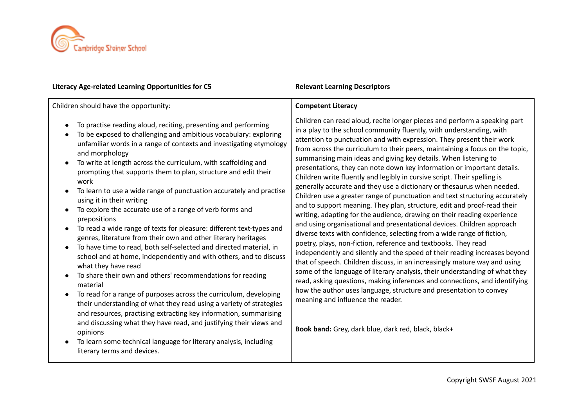

| Literacy Age-related Learning Opportunities for C5                                                                                                                                                                                                                                                                                                                                                                                                                                                                                                                                                                                                                                                                                                                                                                                                                                                                                                                                                                                                                                                                                                                                                                                                                                                                                                                                          | <b>Relevant Learning Descriptors</b>                                                                                                                                                                                                                                                                                                                                                                                                                                                                                                                                                                                                                                                                                                                                                                                                                                                                                                                                                                                                                                                                                                                                                                                                                                                                                                                                                                                                                                                                                                                                 |
|---------------------------------------------------------------------------------------------------------------------------------------------------------------------------------------------------------------------------------------------------------------------------------------------------------------------------------------------------------------------------------------------------------------------------------------------------------------------------------------------------------------------------------------------------------------------------------------------------------------------------------------------------------------------------------------------------------------------------------------------------------------------------------------------------------------------------------------------------------------------------------------------------------------------------------------------------------------------------------------------------------------------------------------------------------------------------------------------------------------------------------------------------------------------------------------------------------------------------------------------------------------------------------------------------------------------------------------------------------------------------------------------|----------------------------------------------------------------------------------------------------------------------------------------------------------------------------------------------------------------------------------------------------------------------------------------------------------------------------------------------------------------------------------------------------------------------------------------------------------------------------------------------------------------------------------------------------------------------------------------------------------------------------------------------------------------------------------------------------------------------------------------------------------------------------------------------------------------------------------------------------------------------------------------------------------------------------------------------------------------------------------------------------------------------------------------------------------------------------------------------------------------------------------------------------------------------------------------------------------------------------------------------------------------------------------------------------------------------------------------------------------------------------------------------------------------------------------------------------------------------------------------------------------------------------------------------------------------------|
| Children should have the opportunity:                                                                                                                                                                                                                                                                                                                                                                                                                                                                                                                                                                                                                                                                                                                                                                                                                                                                                                                                                                                                                                                                                                                                                                                                                                                                                                                                                       | <b>Competent Literacy</b>                                                                                                                                                                                                                                                                                                                                                                                                                                                                                                                                                                                                                                                                                                                                                                                                                                                                                                                                                                                                                                                                                                                                                                                                                                                                                                                                                                                                                                                                                                                                            |
| To practise reading aloud, reciting, presenting and performing<br>To be exposed to challenging and ambitious vocabulary: exploring<br>unfamiliar words in a range of contexts and investigating etymology<br>and morphology<br>To write at length across the curriculum, with scaffolding and<br>$\bullet$<br>prompting that supports them to plan, structure and edit their<br>work<br>To learn to use a wide range of punctuation accurately and practise<br>using it in their writing<br>To explore the accurate use of a range of verb forms and<br>prepositions<br>To read a wide range of texts for pleasure: different text-types and<br>$\bullet$<br>genres, literature from their own and other literary heritages<br>To have time to read, both self-selected and directed material, in<br>school and at home, independently and with others, and to discuss<br>what they have read<br>To share their own and others' recommendations for reading<br>material<br>To read for a range of purposes across the curriculum, developing<br>$\bullet$<br>their understanding of what they read using a variety of strategies<br>and resources, practising extracting key information, summarising<br>and discussing what they have read, and justifying their views and<br>opinions<br>To learn some technical language for literary analysis, including<br>literary terms and devices. | Children can read aloud, recite longer pieces and perform a speaking part<br>in a play to the school community fluently, with understanding, with<br>attention to punctuation and with expression. They present their work<br>from across the curriculum to their peers, maintaining a focus on the topic,<br>summarising main ideas and giving key details. When listening to<br>presentations, they can note down key information or important details.<br>Children write fluently and legibly in cursive script. Their spelling is<br>generally accurate and they use a dictionary or thesaurus when needed.<br>Children use a greater range of punctuation and text structuring accurately<br>and to support meaning. They plan, structure, edit and proof-read their<br>writing, adapting for the audience, drawing on their reading experience<br>and using organisational and presentational devices. Children approach<br>diverse texts with confidence, selecting from a wide range of fiction,<br>poetry, plays, non-fiction, reference and textbooks. They read<br>independently and silently and the speed of their reading increases beyond<br>that of speech. Children discuss, in an increasingly mature way and using<br>some of the language of literary analysis, their understanding of what they<br>read, asking questions, making inferences and connections, and identifying<br>how the author uses language, structure and presentation to convey<br>meaning and influence the reader.<br>Book band: Grey, dark blue, dark red, black, black+ |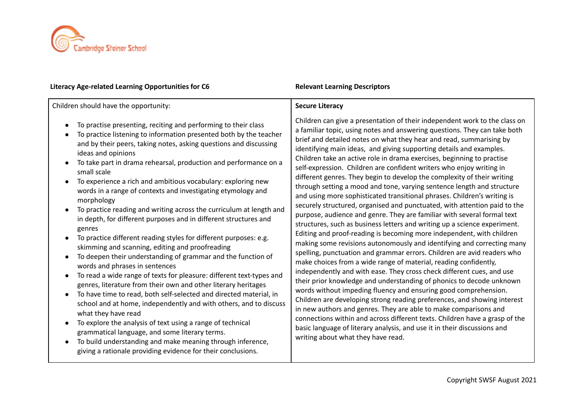

| Literacy Age-related Learning Opportunities for Co                                                                                                                                                                                                                                                                                                                                                                                                                                                                                                                                                                                                                                                                                                                                                                                                                                                                                                                                                                                                                                                                                                                                                                                                                                                                                                                                                                                                                                                                                          | <b>REIEVAIIL LEATHING DESCRIPTORS</b>                                                                                                                                                                                                                                                                                                                                                                                                                                                                                                                                                                                                                                                                                                                                                                                                                                                                                                                                                                                                                                                                                                                                                                                                                                                                                                                                                                                                                                                                                                                                                                                                                                                                                                                                                                |
|---------------------------------------------------------------------------------------------------------------------------------------------------------------------------------------------------------------------------------------------------------------------------------------------------------------------------------------------------------------------------------------------------------------------------------------------------------------------------------------------------------------------------------------------------------------------------------------------------------------------------------------------------------------------------------------------------------------------------------------------------------------------------------------------------------------------------------------------------------------------------------------------------------------------------------------------------------------------------------------------------------------------------------------------------------------------------------------------------------------------------------------------------------------------------------------------------------------------------------------------------------------------------------------------------------------------------------------------------------------------------------------------------------------------------------------------------------------------------------------------------------------------------------------------|------------------------------------------------------------------------------------------------------------------------------------------------------------------------------------------------------------------------------------------------------------------------------------------------------------------------------------------------------------------------------------------------------------------------------------------------------------------------------------------------------------------------------------------------------------------------------------------------------------------------------------------------------------------------------------------------------------------------------------------------------------------------------------------------------------------------------------------------------------------------------------------------------------------------------------------------------------------------------------------------------------------------------------------------------------------------------------------------------------------------------------------------------------------------------------------------------------------------------------------------------------------------------------------------------------------------------------------------------------------------------------------------------------------------------------------------------------------------------------------------------------------------------------------------------------------------------------------------------------------------------------------------------------------------------------------------------------------------------------------------------------------------------------------------------|
| Children should have the opportunity:                                                                                                                                                                                                                                                                                                                                                                                                                                                                                                                                                                                                                                                                                                                                                                                                                                                                                                                                                                                                                                                                                                                                                                                                                                                                                                                                                                                                                                                                                                       | <b>Secure Literacy</b>                                                                                                                                                                                                                                                                                                                                                                                                                                                                                                                                                                                                                                                                                                                                                                                                                                                                                                                                                                                                                                                                                                                                                                                                                                                                                                                                                                                                                                                                                                                                                                                                                                                                                                                                                                               |
| To practise presenting, reciting and performing to their class<br>$\bullet$<br>To practice listening to information presented both by the teacher<br>$\bullet$<br>and by their peers, taking notes, asking questions and discussing<br>ideas and opinions<br>To take part in drama rehearsal, production and performance on a<br>small scale<br>To experience a rich and ambitious vocabulary: exploring new<br>$\bullet$<br>words in a range of contexts and investigating etymology and<br>morphology<br>To practice reading and writing across the curriculum at length and<br>$\bullet$<br>in depth, for different purposes and in different structures and<br>genres<br>To practice different reading styles for different purposes: e.g.<br>$\bullet$<br>skimming and scanning, editing and proofreading<br>To deepen their understanding of grammar and the function of<br>$\bullet$<br>words and phrases in sentences<br>To read a wide range of texts for pleasure: different text-types and<br>$\bullet$<br>genres, literature from their own and other literary heritages<br>To have time to read, both self-selected and directed material, in<br>$\bullet$<br>school and at home, independently and with others, and to discuss<br>what they have read<br>To explore the analysis of text using a range of technical<br>$\bullet$<br>grammatical language, and some literary terms.<br>To build understanding and make meaning through inference,<br>$\bullet$<br>giving a rationale providing evidence for their conclusions. | Children can give a presentation of their independent work to the class on<br>a familiar topic, using notes and answering questions. They can take both<br>brief and detailed notes on what they hear and read, summarising by<br>identifying main ideas, and giving supporting details and examples.<br>Children take an active role in drama exercises, beginning to practise<br>self-expression. Children are confident writers who enjoy writing in<br>different genres. They begin to develop the complexity of their writing<br>through setting a mood and tone, varying sentence length and structure<br>and using more sophisticated transitional phrases. Children's writing is<br>securely structured, organised and punctuated, with attention paid to the<br>purpose, audience and genre. They are familiar with several formal text<br>structures, such as business letters and writing up a science experiment.<br>Editing and proof-reading is becoming more independent, with children<br>making some revisions autonomously and identifying and correcting many<br>spelling, punctuation and grammar errors. Children are avid readers who<br>make choices from a wide range of material, reading confidently,<br>independently and with ease. They cross check different cues, and use<br>their prior knowledge and understanding of phonics to decode unknown<br>words without impeding fluency and ensuring good comprehension.<br>Children are developing strong reading preferences, and showing interest<br>in new authors and genres. They are able to make comparisons and<br>connections within and across different texts. Children have a grasp of the<br>basic language of literary analysis, and use it in their discussions and<br>writing about what they have read. |

# **Literacy Age-related Learning Opportunities for C6 Relevant Learning Descriptors**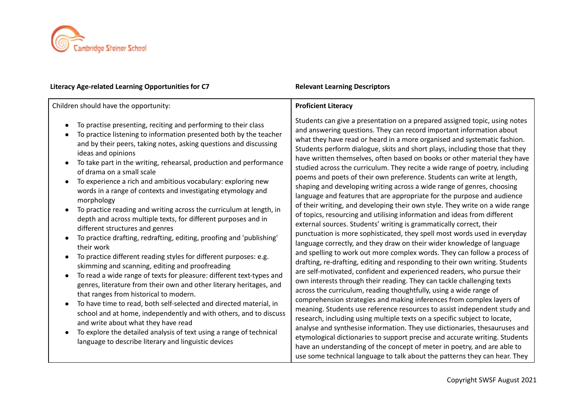

| Literacy Age-related Learning Opportunities for C7                                                                                                                                                                                                                                                                                                                                                                                                                                                                                                                                                                                                                                                                                                                                                                                                                                                                                                                                                                                                                                                                                                                                                                                                                                                                                                                                                                          | <b>Relevant Learning Descriptors</b>                                                                                                                                                                                                                                                                                                                                                                                                                                                                                                                                                                                                                                                                                                                                                                                                                                                                                                                                                                                                                                                                                                                                                                                                                                                                                                                                                                                                                                                                                                                                                                                                                                                                                                                                                                                                                                                                                                                                                                                                                  |
|-----------------------------------------------------------------------------------------------------------------------------------------------------------------------------------------------------------------------------------------------------------------------------------------------------------------------------------------------------------------------------------------------------------------------------------------------------------------------------------------------------------------------------------------------------------------------------------------------------------------------------------------------------------------------------------------------------------------------------------------------------------------------------------------------------------------------------------------------------------------------------------------------------------------------------------------------------------------------------------------------------------------------------------------------------------------------------------------------------------------------------------------------------------------------------------------------------------------------------------------------------------------------------------------------------------------------------------------------------------------------------------------------------------------------------|-------------------------------------------------------------------------------------------------------------------------------------------------------------------------------------------------------------------------------------------------------------------------------------------------------------------------------------------------------------------------------------------------------------------------------------------------------------------------------------------------------------------------------------------------------------------------------------------------------------------------------------------------------------------------------------------------------------------------------------------------------------------------------------------------------------------------------------------------------------------------------------------------------------------------------------------------------------------------------------------------------------------------------------------------------------------------------------------------------------------------------------------------------------------------------------------------------------------------------------------------------------------------------------------------------------------------------------------------------------------------------------------------------------------------------------------------------------------------------------------------------------------------------------------------------------------------------------------------------------------------------------------------------------------------------------------------------------------------------------------------------------------------------------------------------------------------------------------------------------------------------------------------------------------------------------------------------------------------------------------------------------------------------------------------------|
| Children should have the opportunity:                                                                                                                                                                                                                                                                                                                                                                                                                                                                                                                                                                                                                                                                                                                                                                                                                                                                                                                                                                                                                                                                                                                                                                                                                                                                                                                                                                                       | <b>Proficient Literacy</b>                                                                                                                                                                                                                                                                                                                                                                                                                                                                                                                                                                                                                                                                                                                                                                                                                                                                                                                                                                                                                                                                                                                                                                                                                                                                                                                                                                                                                                                                                                                                                                                                                                                                                                                                                                                                                                                                                                                                                                                                                            |
| To practise presenting, reciting and performing to their class<br>To practice listening to information presented both by the teacher<br>and by their peers, taking notes, asking questions and discussing<br>ideas and opinions<br>To take part in the writing, rehearsal, production and performance<br>of drama on a small scale<br>To experience a rich and ambitious vocabulary: exploring new<br>words in a range of contexts and investigating etymology and<br>morphology<br>To practice reading and writing across the curriculum at length, in<br>depth and across multiple texts, for different purposes and in<br>different structures and genres<br>To practice drafting, redrafting, editing, proofing and 'publishing'<br>their work<br>To practice different reading styles for different purposes: e.g.<br>$\bullet$<br>skimming and scanning, editing and proofreading<br>To read a wide range of texts for pleasure: different text-types and<br>genres, literature from their own and other literary heritages, and<br>that ranges from historical to modern.<br>To have time to read, both self-selected and directed material, in<br>$\bullet$<br>school and at home, independently and with others, and to discuss<br>and write about what they have read<br>To explore the detailed analysis of text using a range of technical<br>$\bullet$<br>language to describe literary and linguistic devices | Students can give a presentation on a prepared assigned topic, using notes<br>and answering questions. They can record important information about<br>what they have read or heard in a more organised and systematic fashion.<br>Students perform dialogue, skits and short plays, including those that they<br>have written themselves, often based on books or other material they have<br>studied across the curriculum. They recite a wide range of poetry, including<br>poems and poets of their own preference. Students can write at length,<br>shaping and developing writing across a wide range of genres, choosing<br>language and features that are appropriate for the purpose and audience<br>of their writing, and developing their own style. They write on a wide range<br>of topics, resourcing and utilising information and ideas from different<br>external sources. Students' writing is grammatically correct, their<br>punctuation is more sophisticated, they spell most words used in everyday<br>language correctly, and they draw on their wider knowledge of language<br>and spelling to work out more complex words. They can follow a process of<br>drafting, re-drafting, editing and responding to their own writing. Students<br>are self-motivated, confident and experienced readers, who pursue their<br>own interests through their reading. They can tackle challenging texts<br>across the curriculum, reading thoughtfully, using a wide range of<br>comprehension strategies and making inferences from complex layers of<br>meaning. Students use reference resources to assist independent study and<br>research, including using multiple texts on a specific subject to locate,<br>analyse and synthesise information. They use dictionaries, thesauruses and<br>etymological dictionaries to support precise and accurate writing. Students<br>have an understanding of the concept of meter in poetry, and are able to<br>use some technical language to talk about the patterns they can hear. They |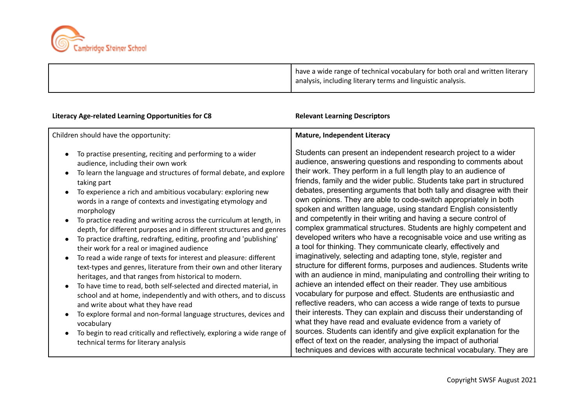

| have a wide range of technical vocabulary for both oral and written literary |
|------------------------------------------------------------------------------|
| I analysis, including literary terms and linguistic analysis.                |

| Literacy Age-related Learning Opportunities for C8                                                                                                                                                                                                                                                                                                                                                                                                                                                                                                                                                                                                                                                                                                                                                                                                                                                                                                                                                                                                                                                                                                                                                                   | <b>Relevant Learning Descriptors</b>                                                                                                                                                                                                                                                                                                                                                                                                                                                                                                                                                                                                                                                                                                                                                                                                                                                                                                                                                                                                                                                                                                                                                                                                                                                                                                                                                                                                                                                                                                                                         |
|----------------------------------------------------------------------------------------------------------------------------------------------------------------------------------------------------------------------------------------------------------------------------------------------------------------------------------------------------------------------------------------------------------------------------------------------------------------------------------------------------------------------------------------------------------------------------------------------------------------------------------------------------------------------------------------------------------------------------------------------------------------------------------------------------------------------------------------------------------------------------------------------------------------------------------------------------------------------------------------------------------------------------------------------------------------------------------------------------------------------------------------------------------------------------------------------------------------------|------------------------------------------------------------------------------------------------------------------------------------------------------------------------------------------------------------------------------------------------------------------------------------------------------------------------------------------------------------------------------------------------------------------------------------------------------------------------------------------------------------------------------------------------------------------------------------------------------------------------------------------------------------------------------------------------------------------------------------------------------------------------------------------------------------------------------------------------------------------------------------------------------------------------------------------------------------------------------------------------------------------------------------------------------------------------------------------------------------------------------------------------------------------------------------------------------------------------------------------------------------------------------------------------------------------------------------------------------------------------------------------------------------------------------------------------------------------------------------------------------------------------------------------------------------------------------|
| Children should have the opportunity:                                                                                                                                                                                                                                                                                                                                                                                                                                                                                                                                                                                                                                                                                                                                                                                                                                                                                                                                                                                                                                                                                                                                                                                | <b>Mature, Independent Literacy</b>                                                                                                                                                                                                                                                                                                                                                                                                                                                                                                                                                                                                                                                                                                                                                                                                                                                                                                                                                                                                                                                                                                                                                                                                                                                                                                                                                                                                                                                                                                                                          |
| To practise presenting, reciting and performing to a wider<br>audience, including their own work<br>To learn the language and structures of formal debate, and explore<br>taking part<br>To experience a rich and ambitious vocabulary: exploring new<br>words in a range of contexts and investigating etymology and<br>morphology<br>To practice reading and writing across the curriculum at length, in<br>$\bullet$<br>depth, for different purposes and in different structures and genres<br>To practice drafting, redrafting, editing, proofing and 'publishing'<br>their work for a real or imagined audience<br>To read a wide range of texts for interest and pleasure: different<br>text-types and genres, literature from their own and other literary<br>heritages, and that ranges from historical to modern.<br>To have time to read, both self-selected and directed material, in<br>school and at home, independently and with others, and to discuss<br>and write about what they have read<br>To explore formal and non-formal language structures, devices and<br>vocabulary<br>To begin to read critically and reflectively, exploring a wide range of<br>technical terms for literary analysis | Students can present an independent research project to a wider<br>audience, answering questions and responding to comments about<br>their work. They perform in a full length play to an audience of<br>friends, family and the wider public. Students take part in structured<br>debates, presenting arguments that both tally and disagree with their<br>own opinions. They are able to code-switch appropriately in both<br>spoken and written language, using standard English consistently<br>and competently in their writing and having a secure control of<br>complex grammatical structures. Students are highly competent and<br>developed writers who have a recognisable voice and use writing as<br>a tool for thinking. They communicate clearly, effectively and<br>imaginatively, selecting and adapting tone, style, register and<br>structure for different forms, purposes and audiences. Students write<br>with an audience in mind, manipulating and controlling their writing to<br>achieve an intended effect on their reader. They use ambitious<br>vocabulary for purpose and effect. Students are enthusiastic and<br>reflective readers, who can access a wide range of texts to pursue<br>their interests. They can explain and discuss their understanding of<br>what they have read and evaluate evidence from a variety of<br>sources. Students can identify and give explicit explanation for the<br>effect of text on the reader, analysing the impact of authorial<br>techniques and devices with accurate technical vocabulary. They are |